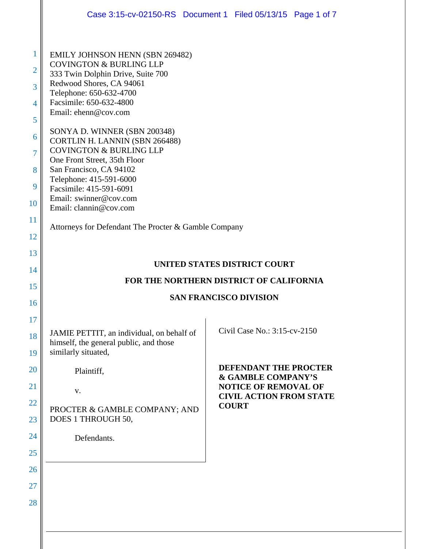|                                                                                 |                                                                                                                                                                                                                                                                                                                                                                                                                                                                                                          | Case 3:15-cv-02150-RS Document 1 Filed 05/13/15 Page 1 of 7 |
|---------------------------------------------------------------------------------|----------------------------------------------------------------------------------------------------------------------------------------------------------------------------------------------------------------------------------------------------------------------------------------------------------------------------------------------------------------------------------------------------------------------------------------------------------------------------------------------------------|-------------------------------------------------------------|
| 1<br>$\overline{2}$<br>3<br>$\overline{4}$<br>5<br>6<br>7<br>8<br>9<br>10<br>11 | <b>EMILY JOHNSON HENN (SBN 269482)</b><br><b>COVINGTON &amp; BURLING LLP</b><br>333 Twin Dolphin Drive, Suite 700<br>Redwood Shores, CA 94061<br>Telephone: 650-632-4700<br>Facsimile: 650-632-4800<br>Email: ehenn@cov.com<br>SONYA D. WINNER (SBN 200348)<br>CORTLIN H. LANNIN (SBN 266488)<br><b>COVINGTON &amp; BURLING LLP</b><br>One Front Street, 35th Floor<br>San Francisco, CA 94102<br>Telephone: 415-591-6000<br>Facsimile: 415-591-6091<br>Email: swinner@cov.com<br>Email: clannin@cov.com |                                                             |
| 12                                                                              | Attorneys for Defendant The Procter & Gamble Company                                                                                                                                                                                                                                                                                                                                                                                                                                                     |                                                             |
| 13                                                                              |                                                                                                                                                                                                                                                                                                                                                                                                                                                                                                          | <b>UNITED STATES DISTRICT COURT</b>                         |
| 14                                                                              |                                                                                                                                                                                                                                                                                                                                                                                                                                                                                                          | FOR THE NORTHERN DISTRICT OF CALIFORNIA                     |
| 15                                                                              |                                                                                                                                                                                                                                                                                                                                                                                                                                                                                                          | <b>SAN FRANCISCO DIVISION</b>                               |
| 16                                                                              |                                                                                                                                                                                                                                                                                                                                                                                                                                                                                                          |                                                             |
| 17                                                                              |                                                                                                                                                                                                                                                                                                                                                                                                                                                                                                          |                                                             |
| 18<br>19                                                                        | JAMIE PETTIT, an individual, on behalf of<br>himself, the general public, and those<br>similarly situated,                                                                                                                                                                                                                                                                                                                                                                                               | Civil Case No.: 3:15-cv-2150                                |
| 20                                                                              | Plaintiff,                                                                                                                                                                                                                                                                                                                                                                                                                                                                                               | <b>DEFENDANT THE PROCTER</b>                                |
| 21                                                                              | V.                                                                                                                                                                                                                                                                                                                                                                                                                                                                                                       | & GAMBLE COMPANY'S<br><b>NOTICE OF REMOVAL OF</b>           |
| 22                                                                              | PROCTER & GAMBLE COMPANY; AND                                                                                                                                                                                                                                                                                                                                                                                                                                                                            | <b>CIVIL ACTION FROM STATE</b><br><b>COURT</b>              |
| 23                                                                              | DOES 1 THROUGH 50,                                                                                                                                                                                                                                                                                                                                                                                                                                                                                       |                                                             |
| 24<br>25                                                                        | Defendants.                                                                                                                                                                                                                                                                                                                                                                                                                                                                                              |                                                             |
| 26                                                                              |                                                                                                                                                                                                                                                                                                                                                                                                                                                                                                          |                                                             |
| 27                                                                              |                                                                                                                                                                                                                                                                                                                                                                                                                                                                                                          |                                                             |
| 28                                                                              |                                                                                                                                                                                                                                                                                                                                                                                                                                                                                                          |                                                             |
|                                                                                 |                                                                                                                                                                                                                                                                                                                                                                                                                                                                                                          |                                                             |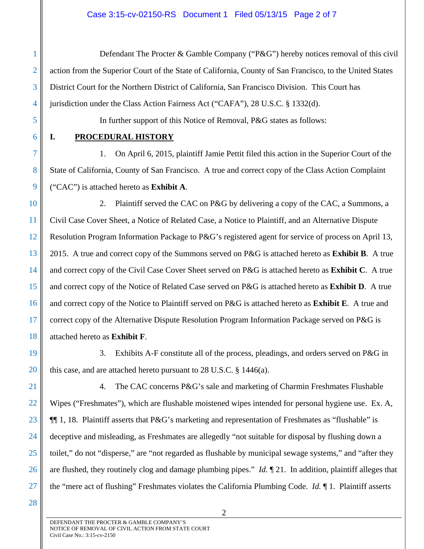#### Case 3:15-cv-02150-RS Document 1 Filed 05/13/15 Page 2 of 7

Defendant The Procter & Gamble Company ("P&G") hereby notices removal of this civil action from the Superior Court of the State of California, County of San Francisco, to the United States District Court for the Northern District of California, San Francisco Division. This Court has jurisdiction under the Class Action Fairness Act ("CAFA"), 28 U.S.C. § 1332(d).

5 6

7

8

9

1

2

3

4

# **I. PROCEDURAL HISTORY**

1. On April 6, 2015, plaintiff Jamie Pettit filed this action in the Superior Court of the State of California, County of San Francisco. A true and correct copy of the Class Action Complaint ("CAC") is attached hereto as **Exhibit A**.

In further support of this Notice of Removal, P&G states as follows:

10 11 12 13 14 15 16 17 18 2. Plaintiff served the CAC on P&G by delivering a copy of the CAC, a Summons, a Civil Case Cover Sheet, a Notice of Related Case, a Notice to Plaintiff, and an Alternative Dispute Resolution Program Information Package to P&G's registered agent for service of process on April 13, 2015. A true and correct copy of the Summons served on P&G is attached hereto as **Exhibit B**. A true and correct copy of the Civil Case Cover Sheet served on P&G is attached hereto as **Exhibit C**. A true and correct copy of the Notice of Related Case served on P&G is attached hereto as **Exhibit D**. A true and correct copy of the Notice to Plaintiff served on P&G is attached hereto as **Exhibit E**. A true and correct copy of the Alternative Dispute Resolution Program Information Package served on P&G is attached hereto as **Exhibit F**.

19 20

3. Exhibits A-F constitute all of the process, pleadings, and orders served on P&G in this case, and are attached hereto pursuant to 28 U.S.C. § 1446(a).

21

22

23

24

25

26

27

4. The CAC concerns P&G's sale and marketing of Charmin Freshmates Flushable Wipes ("Freshmates"), which are flushable moistened wipes intended for personal hygiene use. Ex. A, ¶¶ 1, 18. Plaintiff asserts that P&G's marketing and representation of Freshmates as "flushable" is deceptive and misleading, as Freshmates are allegedly "not suitable for disposal by flushing down a toilet," do not "disperse," are "not regarded as flushable by municipal sewage systems," and "after they are flushed, they routinely clog and damage plumbing pipes." *Id.* ¶ 21. In addition, plaintiff alleges that the "mere act of flushing" Freshmates violates the California Plumbing Code. *Id.* ¶ 1. Plaintiff asserts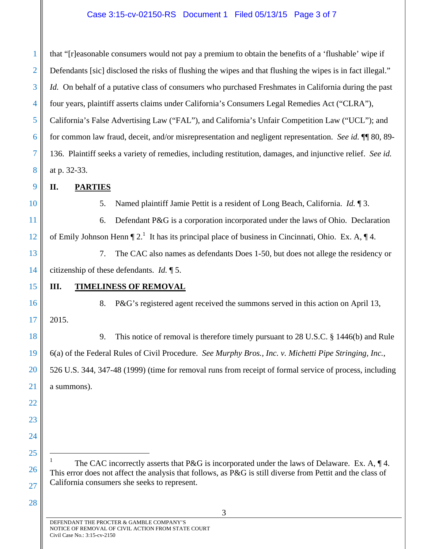## Case 3:15-cv-02150-RS Document 1 Filed 05/13/15 Page 3 of 7

1 2 3 4 5 6 7 8 that "[r]easonable consumers would not pay a premium to obtain the benefits of a 'flushable' wipe if Defendants [sic] disclosed the risks of flushing the wipes and that flushing the wipes is in fact illegal." *Id.* On behalf of a putative class of consumers who purchased Freshmates in California during the past four years, plaintiff asserts claims under California's Consumers Legal Remedies Act ("CLRA"), California's False Advertising Law ("FAL"), and California's Unfair Competition Law ("UCL"); and for common law fraud, deceit, and/or misrepresentation and negligent representation. *See id.* ¶¶ 80, 89- 136. Plaintiff seeks a variety of remedies, including restitution, damages, and injunctive relief. *See id.* at p. 32-33.

## **II. PARTIES**

10

11

12

15

16

17

18

19

20

21

22

23

24

25

 $\overline{a}$ 

26

27

9

## 5. Named plaintiff Jamie Pettit is a resident of Long Beach, California. *Id.* ¶ 3.

6. Defendant P&G is a corporation incorporated under the laws of Ohio. Declaration of Emily Johnson Henn  $\P$  2.<sup>1</sup> It has its principal place of business in Cincinnati, Ohio. Ex. A,  $\P$  4.

13 14 7. The CAC also names as defendants Does 1-50, but does not allege the residency or citizenship of these defendants. *Id.* ¶ 5.

#### **III. TIMELINESS OF REMOVAL**

8. P&G's registered agent received the summons served in this action on April 13, 2015.

9. This notice of removal is therefore timely pursuant to 28 U.S.C. § 1446(b) and Rule 6(a) of the Federal Rules of Civil Procedure. *See Murphy Bros., Inc. v. Michetti Pipe Stringing, Inc.*, 526 U.S. 344, 347-48 (1999) (time for removal runs from receipt of formal service of process, including a summons).

1 The CAC incorrectly asserts that P&G is incorporated under the laws of Delaware. Ex. A,  $\P$ 4. This error does not affect the analysis that follows, as P&G is still diverse from Pettit and the class of California consumers she seeks to represent.

28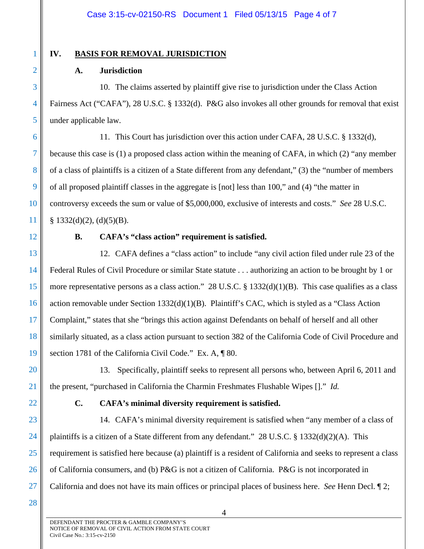# 1

2

3

4

5

6

7

8

9

10

11

12

13

14

15

17

18

19

20

21

# **IV. BASIS FOR REMOVAL JURISDICTION**

## **A. Jurisdiction**

10. The claims asserted by plaintiff give rise to jurisdiction under the Class Action Fairness Act ("CAFA"), 28 U.S.C. § 1332(d). P&G also invokes all other grounds for removal that exist under applicable law.

11. This Court has jurisdiction over this action under CAFA, 28 U.S.C. § 1332(d), because this case is (1) a proposed class action within the meaning of CAFA, in which (2) "any member of a class of plaintiffs is a citizen of a State different from any defendant," (3) the "number of members of all proposed plaintiff classes in the aggregate is [not] less than 100," and (4) "the matter in controversy exceeds the sum or value of \$5,000,000, exclusive of interests and costs." *See* 28 U.S.C.  $§ 1332(d)(2), (d)(5)(B).$ 

# **B. CAFA's "class action" requirement is satisfied.**

16 12. CAFA defines a "class action" to include "any civil action filed under rule 23 of the Federal Rules of Civil Procedure or similar State statute . . . authorizing an action to be brought by 1 or more representative persons as a class action." 28 U.S.C. § 1332(d)(1)(B). This case qualifies as a class action removable under Section  $1332(d)(1)(B)$ . Plaintiff's CAC, which is styled as a "Class Action" Complaint," states that she "brings this action against Defendants on behalf of herself and all other similarly situated, as a class action pursuant to section 382 of the California Code of Civil Procedure and section 1781 of the California Civil Code." Ex. A,  $\parallel$  80.

13. Specifically, plaintiff seeks to represent all persons who, between April 6, 2011 and the present, "purchased in California the Charmin Freshmates Flushable Wipes []." *Id.*

22

# **C. CAFA's minimal diversity requirement is satisfied.**

23 24 25 26 27 14. CAFA's minimal diversity requirement is satisfied when "any member of a class of plaintiffs is a citizen of a State different from any defendant." 28 U.S.C. § 1332(d)(2)(A). This requirement is satisfied here because (a) plaintiff is a resident of California and seeks to represent a class of California consumers, and (b) P&G is not a citizen of California. P&G is not incorporated in California and does not have its main offices or principal places of business here. *See* Henn Decl. ¶ 2;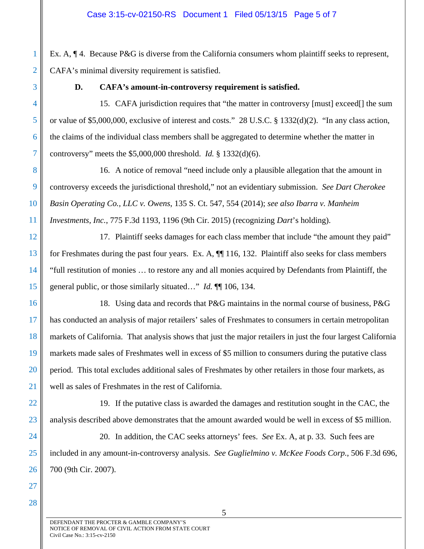Ex. A,  $\P$ 4. Because P&G is diverse from the California consumers whom plaintiff seeks to represent, CAFA's minimal diversity requirement is satisfied.

## **D. CAFA's amount-in-controversy requirement is satisfied.**

15. CAFA jurisdiction requires that "the matter in controversy [must] exceed[] the sum or value of \$5,000,000, exclusive of interest and costs." 28 U.S.C. § 1332(d)(2). "In any class action, the claims of the individual class members shall be aggregated to determine whether the matter in controversy" meets the \$5,000,000 threshold. *Id.* § 1332(d)(6).

16. A notice of removal "need include only a plausible allegation that the amount in controversy exceeds the jurisdictional threshold," not an evidentiary submission. *See Dart Cherokee Basin Operating Co., LLC v. Owens*, 135 S. Ct. 547, 554 (2014); *see also Ibarra v. Manheim Investments, Inc.*, 775 F.3d 1193, 1196 (9th Cir. 2015) (recognizing *Dart*'s holding).

17. Plaintiff seeks damages for each class member that include "the amount they paid" for Freshmates during the past four years. Ex. A, ¶¶ 116, 132. Plaintiff also seeks for class members "full restitution of monies … to restore any and all monies acquired by Defendants from Plaintiff, the general public, or those similarly situated…" *Id.* ¶¶ 106, 134.

18. Using data and records that P&G maintains in the normal course of business, P&G has conducted an analysis of major retailers' sales of Freshmates to consumers in certain metropolitan markets of California. That analysis shows that just the major retailers in just the four largest California markets made sales of Freshmates well in excess of \$5 million to consumers during the putative class period. This total excludes additional sales of Freshmates by other retailers in those four markets, as well as sales of Freshmates in the rest of California.

19. If the putative class is awarded the damages and restitution sought in the CAC, the analysis described above demonstrates that the amount awarded would be well in excess of \$5 million.

20. In addition, the CAC seeks attorneys' fees. *See* Ex. A, at p. 33. Such fees are included in any amount-in-controversy analysis. *See Guglielmino v. McKee Foods Corp.*, 506 F.3d 696, 700 (9th Cir. 2007).

28

1

2

3

4

5

6

7

8

9

10

11

12

13

14

15

16

17

18

19

20

21

22

23

24

25

26

27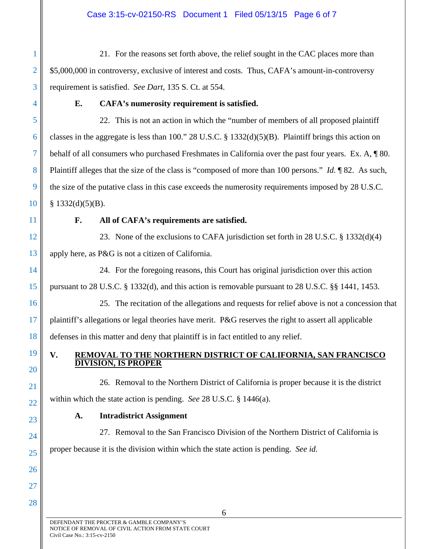#### Case 3:15-cv-02150-RS Document 1 Filed 05/13/15 Page 6 of 7

21. For the reasons set forth above, the relief sought in the CAC places more than \$5,000,000 in controversy, exclusive of interest and costs. Thus, CAFA's amount-in-controversy requirement is satisfied. *See Dart*, 135 S. Ct. at 554.

4

5

6

7

8

9

10

14

15

16

17

18

19

20

21

22

23

24

25

26

27

28

1

2

3

#### **E. CAFA's numerosity requirement is satisfied.**

22. This is not an action in which the "number of members of all proposed plaintiff classes in the aggregate is less than 100." 28 U.S.C. § 1332(d)(5)(B). Plaintiff brings this action on behalf of all consumers who purchased Freshmates in California over the past four years. Ex. A, ¶ 80. Plaintiff alleges that the size of the class is "composed of more than 100 persons." *Id.* ¶ 82. As such, the size of the putative class in this case exceeds the numerosity requirements imposed by 28 U.S.C.  $§$  1332(d)(5)(B).

11

#### **F. All of CAFA's requirements are satisfied.**

12 13 23. None of the exclusions to CAFA jurisdiction set forth in 28 U.S.C. § 1332(d)(4) apply here, as P&G is not a citizen of California.

24. For the foregoing reasons, this Court has original jurisdiction over this action pursuant to 28 U.S.C. § 1332(d), and this action is removable pursuant to 28 U.S.C. §§ 1441, 1453.

25. The recitation of the allegations and requests for relief above is not a concession that plaintiff's allegations or legal theories have merit. P&G reserves the right to assert all applicable defenses in this matter and deny that plaintiff is in fact entitled to any relief.

## **V. REMOVAL TO THE NORTHERN DISTRICT OF CALIFORNIA, SAN FRANCISCO DIVISION, IS PROPER**

26. Removal to the Northern District of California is proper because it is the district within which the state action is pending. *See* 28 U.S.C. § 1446(a).

#### **A. Intradistrict Assignment**

27. Removal to the San Francisco Division of the Northern District of California is proper because it is the division within which the state action is pending. *See id.*